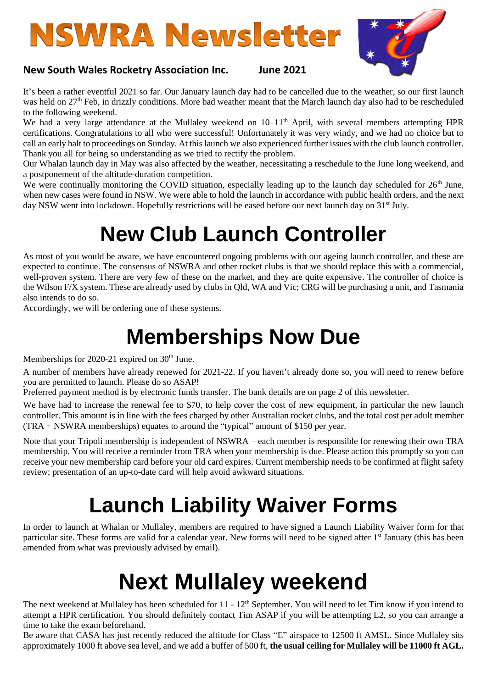# **NSWRA Newsletter**



## **New South Wales Rocketry Association Inc. June 2021**

It's been a rather eventful 2021 so far. Our January launch day had to be cancelled due to the weather, so our first launch was held on 27<sup>th</sup> Feb, in drizzly conditions. More bad weather meant that the March launch day also had to be rescheduled to the following weekend.

We had a very large attendance at the Mullaley weekend on 10–11<sup>th</sup> April, with several members attempting HPR certifications. Congratulations to all who were successful! Unfortunately it was very windy, and we had no choice but to call an early halt to proceedings on Sunday. At this launch we also experienced further issues with the club launch controller. Thank you all for being so understanding as we tried to rectify the problem.

Our Whalan launch day in May was also affected by the weather, necessitating a reschedule to the June long weekend, and a postponement of the altitude-duration competition.

We were continually monitoring the COVID situation, especially leading up to the launch day scheduled for 26<sup>th</sup> June, when new cases were found in NSW. We were able to hold the launch in accordance with public health orders, and the next day NSW went into lockdown. Hopefully restrictions will be eased before our next launch day on 31<sup>st</sup> July.

## **New Club Launch Controller**

As most of you would be aware, we have encountered ongoing problems with our ageing launch controller, and these are expected to continue. The consensus of NSWRA and other rocket clubs is that we should replace this with a commercial, well-proven system. There are very few of these on the market, and they are quite expensive. The controller of choice is the Wilson F/X system. These are already used by clubs in Qld, WA and Vic; CRG will be purchasing a unit, and Tasmania also intends to do so.

Accordingly, we will be ordering one of these systems.

## **Memberships Now Due**

Memberships for 2020-21 expired on 30<sup>th</sup> June.

A number of members have already renewed for 2021-22. If you haven't already done so, you will need to renew before you are permitted to launch. Please do so ASAP!

Preferred payment method is by electronic funds transfer. The bank details are on page 2 of this newsletter.

We have had to increase the renewal fee to \$70, to help cover the cost of new equipment, in particular the new launch controller. This amount is in line with the fees charged by other Australian rocket clubs, and the total cost per adult member (TRA + NSWRA memberships) equates to around the "typical" amount of \$150 per year.

Note that your Tripoli membership is independent of NSWRA – each member is responsible for renewing their own TRA membership. You will receive a reminder from TRA when your membership is due. Please action this promptly so you can receive your new membership card before your old card expires. Current membership needs to be confirmed at flight safety review; presentation of an up-to-date card will help avoid awkward situations.

## **Launch Liability Waiver Forms**

In order to launch at Whalan or Mullaley, members are required to have signed a Launch Liability Waiver form for that particular site. These forms are valid for a calendar year. New forms will need to be signed after 1<sup>st</sup> January (this has been amended from what was previously advised by email).

## **Next Mullaley weekend**

The next weekend at Mullaley has been scheduled for 11 - 12<sup>th</sup> September. You will need to let Tim know if you intend to attempt a HPR certification. You should definitely contact Tim ASAP if you will be attempting L2, so you can arrange a time to take the exam beforehand.

Be aware that CASA has just recently reduced the altitude for Class "E" airspace to 12500 ft AMSL. Since Mullaley sits approximately 1000 ft above sea level, and we add a buffer of 500 ft, **the usual ceiling for Mullaley will be 11000 ft AGL.**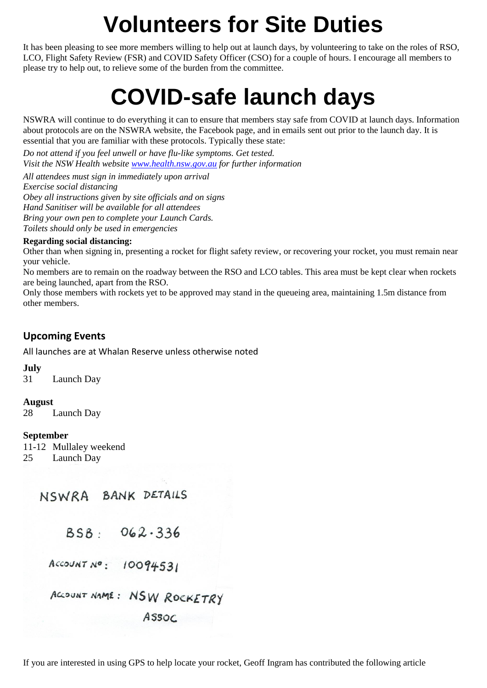## **Volunteers for Site Duties**

It has been pleasing to see more members willing to help out at launch days, by volunteering to take on the roles of RSO, LCO, Flight Safety Review (FSR) and COVID Safety Officer (CSO) for a couple of hours. I encourage all members to please try to help out, to relieve some of the burden from the committee.

## **COVID-safe launch days**

NSWRA will continue to do everything it can to ensure that members stay safe from COVID at launch days. Information about protocols are on the NSWRA website, the Facebook page, and in emails sent out prior to the launch day. It is essential that you are familiar with these protocols. Typically these state:

*Do not attend if you feel unwell or have flu-like symptoms. Get tested. Visit the NSW Health website [www.health.nsw.gov.au](https://l.facebook.com/l.php?u=http%3A%2F%2Fwww.health.nsw.gov.au%2F%3Ffbclid%3DIwAR3KH6Y9tRmv5KDsTce0umN6w3JN_V-RSY2CohYwylvB-lyWt2kTsmVBcu4&h=AT0YlpDvsr-ceF7ROvwSIhVqWY3MtULG5BiQGIdy4GU5Bioaa7bBb5Dyet2y737CNkeAErs4mJ6p4DZtukO4yYwmog_PKWo1C2vVKU1hO1uHABXgJwnzF7wDtJyOfrmpPj7g&__tn__=q&c%5b0%5d=AT21zLh3HVN9OwGN3kzZ_9brqYvaDFgkVb5iUwJUG8L5kHVEIbmvZleG3x-buZebqnRBWtcf3UIuxo_z4kWwS7BfIgbubM5zxZbcrCr2KZNEb_iajd3DORxyO2MLLQvPVUL81pZmNps00wd2Cugqlp49MGmrEHo6_KbFP0sAstuHbG24PA) for further information*

*All attendees must sign in immediately upon arrival Exercise social distancing Obey all instructions given by site officials and on signs Hand Sanitiser will be available for all attendees Bring your own pen to complete your Launch Cards. Toilets should only be used in emergencies*

## **Regarding social distancing:**

Other than when signing in, presenting a rocket for flight safety review, or recovering your rocket, you must remain near your vehicle.

No members are to remain on the roadway between the RSO and LCO tables. This area must be kept clear when rockets are being launched, apart from the RSO.

Only those members with rockets yet to be approved may stand in the queueing area, maintaining 1.5m distance from other members.

## **Upcoming Events**

All launches are at Whalan Reserve unless otherwise noted

## **July**

31 Launch Day

## **August**

28 Launch Day

## **September**

11-12 Mullaley weekend 25 Launch Day

## NSWRA BANK DETAILS

 $BSB: 062.336$ 

ACCOUNT Nº:  $10094531$ 

ACCOUNT NAME: NSW ROCKETRY

ASSOC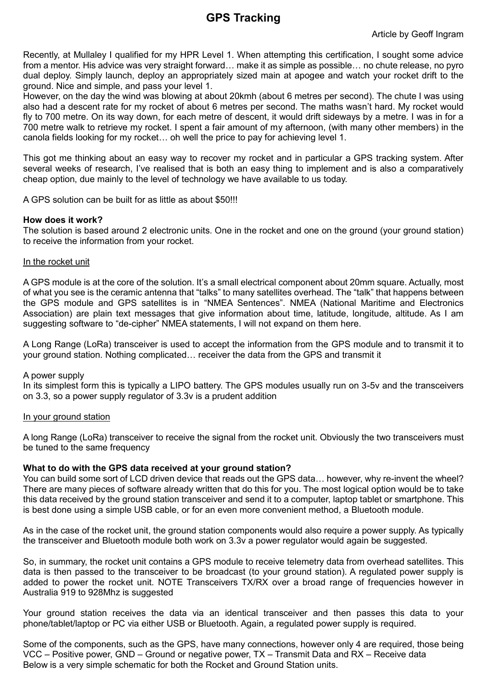## **GPS Tracking**

Recently, at Mullaley I qualified for my HPR Level 1. When attempting this certification, I sought some advice from a mentor. His advice was very straight forward… make it as simple as possible… no chute release, no pyro dual deploy. Simply launch, deploy an appropriately sized main at apogee and watch your rocket drift to the ground. Nice and simple, and pass your level 1.

However, on the day the wind was blowing at about 20kmh (about 6 metres per second). The chute I was using also had a descent rate for my rocket of about 6 metres per second. The maths wasn't hard. My rocket would fly to 700 metre. On its way down, for each metre of descent, it would drift sideways by a metre. I was in for a 700 metre walk to retrieve my rocket. I spent a fair amount of my afternoon, (with many other members) in the canola fields looking for my rocket… oh well the price to pay for achieving level 1.

This got me thinking about an easy way to recover my rocket and in particular a GPS tracking system. After several weeks of research, I've realised that is both an easy thing to implement and is also a comparatively cheap option, due mainly to the level of technology we have available to us today.

A GPS solution can be built for as little as about \$50!!!

### **How does it work?**

The solution is based around 2 electronic units. One in the rocket and one on the ground (your ground station) to receive the information from your rocket.

#### In the rocket unit

A GPS module is at the core of the solution. It's a small electrical component about 20mm square. Actually, most of what you see is the ceramic antenna that "talks" to many satellites overhead. The "talk" that happens between the GPS module and GPS satellites is in "NMEA Sentences". NMEA (National Maritime and Electronics Association) are plain text messages that give information about time, latitude, longitude, altitude. As I am suggesting software to "de-cipher" NMEA statements, I will not expand on them here.

A Long Range (LoRa) transceiver is used to accept the information from the GPS module and to transmit it to your ground station. Nothing complicated… receiver the data from the GPS and transmit it

#### A power supply

In its simplest form this is typically a LIPO battery. The GPS modules usually run on 3-5v and the transceivers on 3.3, so a power supply regulator of 3.3v is a prudent addition

### In your ground station

A long Range (LoRa) transceiver to receive the signal from the rocket unit. Obviously the two transceivers must be tuned to the same frequency

#### **What to do with the GPS data received at your ground station?**

You can build some sort of LCD driven device that reads out the GPS data… however, why re-invent the wheel? There are many pieces of software already written that do this for you. The most logical option would be to take this data received by the ground station transceiver and send it to a computer, laptop tablet or smartphone. This is best done using a simple USB cable, or for an even more convenient method, a Bluetooth module.

As in the case of the rocket unit, the ground station components would also require a power supply. As typically the transceiver and Bluetooth module both work on 3.3v a power regulator would again be suggested.

So, in summary, the rocket unit contains a GPS module to receive telemetry data from overhead satellites. This data is then passed to the transceiver to be broadcast (to your ground station). A regulated power supply is added to power the rocket unit. NOTE Transceivers TX/RX over a broad range of frequencies however in Australia 919 to 928Mhz is suggested

Your ground station receives the data via an identical transceiver and then passes this data to your phone/tablet/laptop or PC via either USB or Bluetooth. Again, a regulated power supply is required.

Some of the components, such as the GPS, have many connections, however only 4 are required, those being VCC – Positive power, GND – Ground or negative power, TX – Transmit Data and RX – Receive data Below is a very simple schematic for both the Rocket and Ground Station units.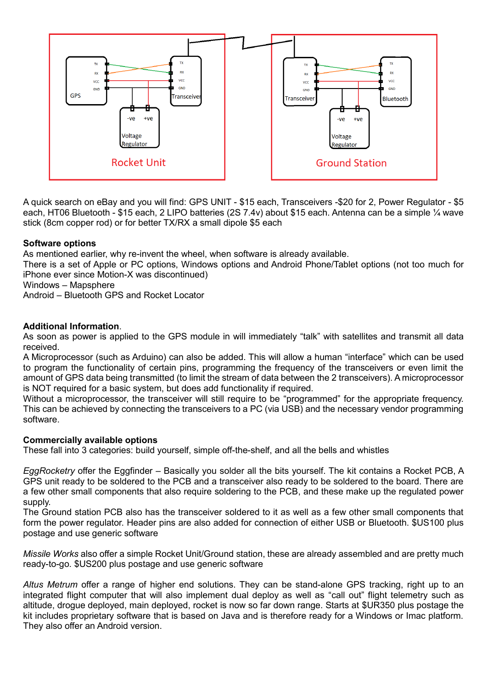

A quick search on eBay and you will find: GPS UNIT - \$15 each, Transceivers -\$20 for 2, Power Regulator - \$5 each, HT06 Bluetooth - \$15 each, 2 LIPO batteries (2S 7.4v) about \$15 each. Antenna can be a simple ¼ wave stick (8cm copper rod) or for better TX/RX a small dipole \$5 each

## **Software options**

As mentioned earlier, why re-invent the wheel, when software is already available.

There is a set of Apple or PC options, Windows options and Android Phone/Tablet options (not too much for iPhone ever since Motion-X was discontinued)

Windows – Mapsphere

Android – Bluetooth GPS and Rocket Locator

## **Additional Information**.

As soon as power is applied to the GPS module in will immediately "talk" with satellites and transmit all data received.

A Microprocessor (such as Arduino) can also be added. This will allow a human "interface" which can be used to program the functionality of certain pins, programming the frequency of the transceivers or even limit the amount of GPS data being transmitted (to limit the stream of data between the 2 transceivers). A microprocessor is NOT required for a basic system, but does add functionality if required.

Without a microprocessor, the transceiver will still require to be "programmed" for the appropriate frequency. This can be achieved by connecting the transceivers to a PC (via USB) and the necessary vendor programming software.

## **Commercially available options**

These fall into 3 categories: build yourself, simple off-the-shelf, and all the bells and whistles

*EggRocketry* offer the Eggfinder – Basically you solder all the bits yourself. The kit contains a Rocket PCB, A GPS unit ready to be soldered to the PCB and a transceiver also ready to be soldered to the board. There are a few other small components that also require soldering to the PCB, and these make up the regulated power supply.

The Ground station PCB also has the transceiver soldered to it as well as a few other small components that form the power regulator. Header pins are also added for connection of either USB or Bluetooth. \$US100 plus postage and use generic software

*Missile Works* also offer a simple Rocket Unit/Ground station, these are already assembled and are pretty much ready-to-go. \$US200 plus postage and use generic software

*Altus Metrum* offer a range of higher end solutions. They can be stand-alone GPS tracking, right up to an integrated flight computer that will also implement dual deploy as well as "call out" flight telemetry such as altitude, drogue deployed, main deployed, rocket is now so far down range. Starts at \$UR350 plus postage the kit includes proprietary software that is based on Java and is therefore ready for a Windows or Imac platform. They also offer an Android version.